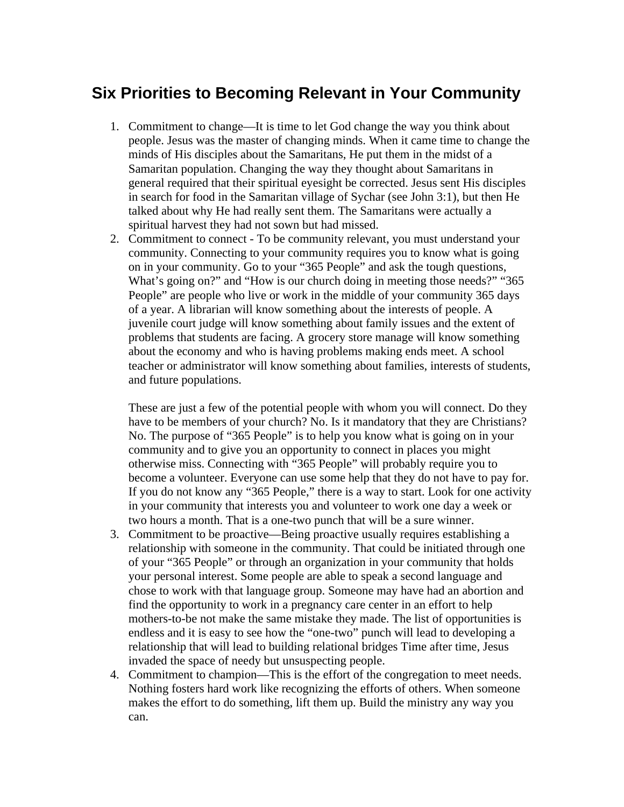## **Six Priorities to Becoming Relevant in Your Community**

- 1. Commitment to change—It is time to let God change the way you think about people. Jesus was the master of changing minds. When it came time to change the minds of His disciples about the Samaritans, He put them in the midst of a Samaritan population. Changing the way they thought about Samaritans in general required that their spiritual eyesight be corrected. Jesus sent His disciples in search for food in the Samaritan village of Sychar (see John 3:1), but then He talked about why He had really sent them. The Samaritans were actually a spiritual harvest they had not sown but had missed.
- 2. Commitment to connect To be community relevant, you must understand your community. Connecting to your community requires you to know what is going on in your community. Go to your "365 People" and ask the tough questions, What's going on?" and "How is our church doing in meeting those needs?" "365" People" are people who live or work in the middle of your community 365 days of a year. A librarian will know something about the interests of people. A juvenile court judge will know something about family issues and the extent of problems that students are facing. A grocery store manage will know something about the economy and who is having problems making ends meet. A school teacher or administrator will know something about families, interests of students, and future populations.

These are just a few of the potential people with whom you will connect. Do they have to be members of your church? No. Is it mandatory that they are Christians? No. The purpose of "365 People" is to help you know what is going on in your community and to give you an opportunity to connect in places you might otherwise miss. Connecting with "365 People" will probably require you to become a volunteer. Everyone can use some help that they do not have to pay for. If you do not know any "365 People," there is a way to start. Look for one activity in your community that interests you and volunteer to work one day a week or two hours a month. That is a one-two punch that will be a sure winner.

- 3. Commitment to be proactive—Being proactive usually requires establishing a relationship with someone in the community. That could be initiated through one of your "365 People" or through an organization in your community that holds your personal interest. Some people are able to speak a second language and chose to work with that language group. Someone may have had an abortion and find the opportunity to work in a pregnancy care center in an effort to help mothers-to-be not make the same mistake they made. The list of opportunities is endless and it is easy to see how the "one-two" punch will lead to developing a relationship that will lead to building relational bridges Time after time, Jesus invaded the space of needy but unsuspecting people.
- 4. Commitment to champion—This is the effort of the congregation to meet needs. Nothing fosters hard work like recognizing the efforts of others. When someone makes the effort to do something, lift them up. Build the ministry any way you can.